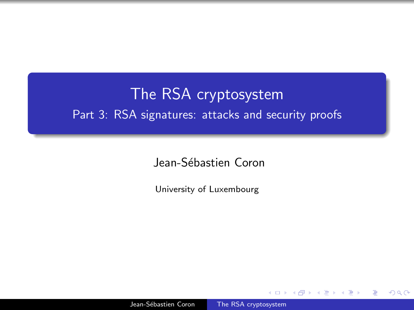## <span id="page-0-0"></span>The RSA cryptosystem Part 3: RSA signatures: attacks and security proofs

Jean-Sébastien Coron

University of Luxembourg

 $\Omega$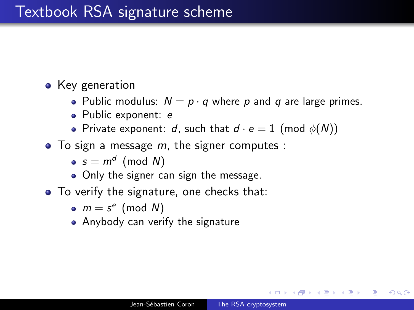#### • Key generation

- Public modulus:  $N = p \cdot q$  where p and q are large primes.
- Public exponent: e
- Private exponent: d, such that  $d \cdot e = 1$  (mod  $\phi(N)$ )
- $\bullet$  To sign a message *m*, the signer computes :
	- $s = m^d \pmod{N}$
	- Only the signer can sign the message.
- To verify the signature, one checks that:
	- $m = s^e \pmod{N}$
	- Anybody can verify the signature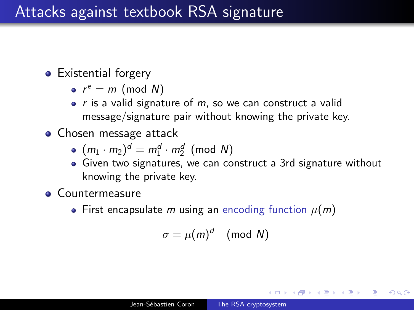## Attacks against textbook RSA signature

- **•** Existential forgery
	- $r^e = m \pmod{N}$
	- $\bullet$  r is a valid signature of m, so we can construct a valid message/signature pair without knowing the private key.
- **•** Chosen message attack
	- $(m_1 \cdot m_2)^d = m_1^d \cdot m_2^d \pmod{N}$
	- Given two signatures, we can construct a 3rd signature without knowing the private key.
- **Countermeasure** 
	- First encapsulate m using an encoding function  $\mu(m)$

$$
\sigma = \mu(m)^d \pmod{N}
$$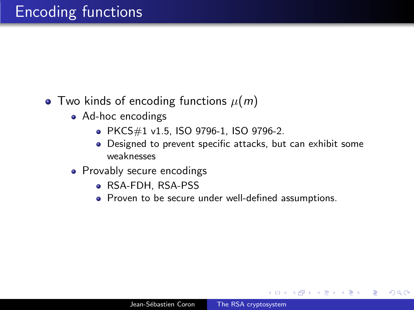- Two kinds of encoding functions  $\mu(m)$ 
	- Ad-hoc encodings
		- PKCS#1 v1.5, ISO 9796-1, ISO 9796-2.
		- Designed to prevent specific attacks, but can exhibit some weaknesses
	- Provably secure encodings
		- RSA-FDH, RSA-PSS
		- Proven to be secure under well-defined assumptions.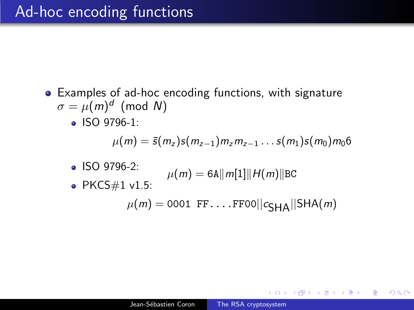Examples of ad-hoc encoding functions, with signature  $\sigma = \mu(m)^d$  (mod N) • ISO 9796-1:  $\mu(m) = \bar{s}(m_z) s(m_{z-1}) m_z m_{z-1} \dots s(m_1) s(m_0) m_0 6$ ISO 9796-2:  $\mu(m) = 6$ A||m[1]||H(m)||BC • PKCS $\#1$  v1.5:  $\mu(m) = 0001 \text{ FF} \dots \text{FF00} \vert c_{\text{GHA}} \vert \vert \text{SHA}(m)$ 

**何 ▶ ( 三 ) ( 三 )**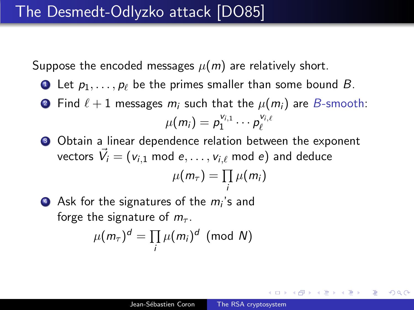Suppose the encoded messages  $\mu(m)$  are relatively short.

- **1** Let  $p_1, \ldots, p_\ell$  be the primes smaller than some bound B.
- **2** Find  $\ell + 1$  messages  $m_i$  such that the  $\mu(m_i)$  are B-smooth:  $\mu(m_i) = p_1^{v_{i,1}}$  $p_1^{v_{i,1}} \cdots p_\ell^{v_{i,\ell}}$  $\ell$
- Obtain a linear dependence relation between the exponent vectors  $\vec{V}_i = (v_{i,1} \text{ mod } e, \ldots, v_{i,\ell} \text{ mod } e)$  and deduce  $\mu(m_\tau) = \prod$ i  $\mu(m_i)$
- $\bullet$  Ask for the signatures of the  $m_i$ 's and forge the signature of  $m_{\tau}$ .

$$
\mu(m_{\tau})^d = \prod_i \mu(m_i)^d \pmod{N}
$$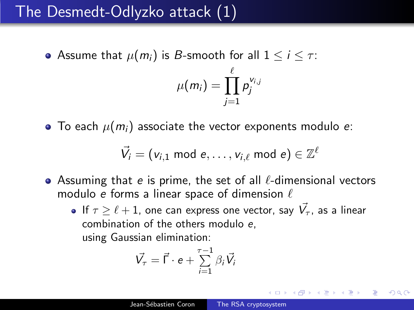## The Desmedt-Odlyzko attack (1)

• Assume that  $\mu(m_i)$  is B-smooth for all  $1 \le i \le \tau$ :

$$
\mu(m_i)=\prod_{j=1}^{\ell}p_j^{\vee_{i,j}}
$$

 $\bullet$  To each  $\mu(m_i)$  associate the vector exponents modulo e:

$$
\vec{V}_i = (v_{i,1} \text{ mod } e, \ldots, v_{i,\ell} \text{ mod } e) \in \mathbb{Z}^{\ell}
$$

- Assuming that e is prime, the set of all  $\ell$ -dimensional vectors modulo e forms a linear space of dimension  $\ell$ 
	- If  $\tau \geq \ell + 1$ , one can express one vector, say  $\vec{V_{\tau}}$ , as a linear combination of the others modulo e, using Gaussian elimination:

$$
\vec{V}_{\tau} = \vec{\Gamma} \cdot e + \sum_{i=1}^{\tau-1} \beta_i \vec{V}_i
$$

 $\Omega$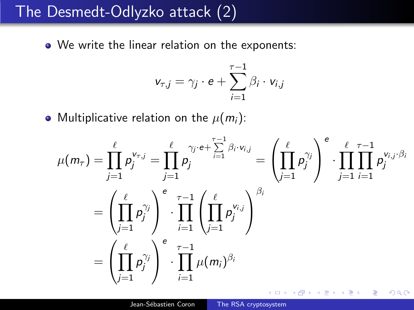## The Desmedt-Odlyzko attack (2)

• We write the linear relation on the exponents:

$$
v_{\tau,j} = \gamma_j \cdot e + \sum_{i=1}^{\tau-1} \beta_i \cdot v_{i,j}
$$

• Multiplicative relation on the  $\mu(m_i)$ :

$$
\mu(m_{\tau}) = \prod_{j=1}^{\ell} p_j^{\mathsf{v}_{\tau,j}} = \prod_{j=1}^{\ell} p_j^{\mathsf{v}_{j} \cdot e + \sum_{i=1}^{\tau-1} \beta_i \cdot \mathsf{v}_{i,j}} = \left( \prod_{j=1}^{\ell} p_j^{\gamma_j} \right)^{e} \cdot \prod_{j=1}^{\ell} \prod_{i=1}^{\tau-1} p_j^{\mathsf{v}_{i,j} \cdot \beta_i}
$$

$$
= \left( \prod_{j=1}^{\ell} p_j^{\gamma_j} \right)^{e} \cdot \prod_{i=1}^{\tau-1} \left( \prod_{j=1}^{\ell} p_j^{\mathsf{v}_{i,j}} \right)^{\beta_i}
$$

$$
= \left( \prod_{j=1}^{\ell} p_j^{\gamma_j} \right)^{e} \cdot \prod_{i=1}^{\tau-1} \mu(m_i)^{\beta_i}
$$

 $\Omega$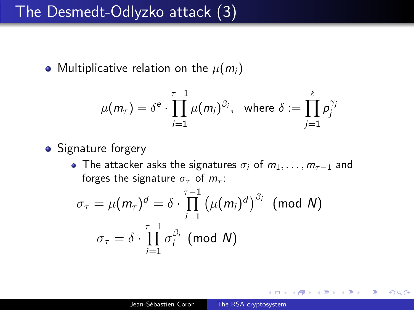### The Desmedt-Odlyzko attack (3)

• Multiplicative relation on the  $\mu(m_i)$ 

$$
\mu(m_{\tau}) = \delta^e \cdot \prod_{i=1}^{\tau-1} \mu(m_i)^{\beta_i}, \text{ where } \delta := \prod_{j=1}^{\ell} p_j^{\gamma_j}
$$

- Signature forgery
	- The attacker asks the signatures  $\sigma_i$  of  $m_1, \ldots, m_{\tau-1}$  and forges the signature  $\sigma_{\tau}$  of  $m_{\tau}$ :

$$
\sigma_{\tau} = \mu(m_{\tau})^{d} = \delta \cdot \prod_{i=1}^{\tau-1} (\mu(m_{i})^{d})^{\beta_{i}} \pmod{N}
$$

$$
\sigma_{\tau} = \delta \cdot \prod_{i=1}^{\tau-1} \sigma_{i}^{\beta_{i}} \pmod{N}
$$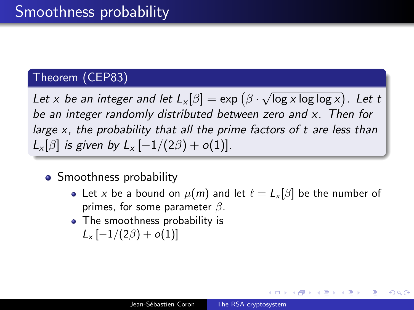#### Theorem (CEP83)

Let  $x$  be an integer and let  $L_x[\beta] = \exp(\beta \cdot \beta)$ √  $\overline{\log x \log \log x})$ . Let t be an integer randomly distributed between zero and x. Then for large x, the probability that all the prime factors of t are less than  $L_x[\beta]$  is given by  $L_x[-1/(2\beta)+o(1)]$ .

- **•** Smoothness probability
	- Let x be a bound on  $\mu(m)$  and let  $\ell = L_x [\beta]$  be the number of primes, for some parameter  $\beta$ .

つくへ

• The smoothness probability is  $L_x[-1/(2\beta)+o(1)]$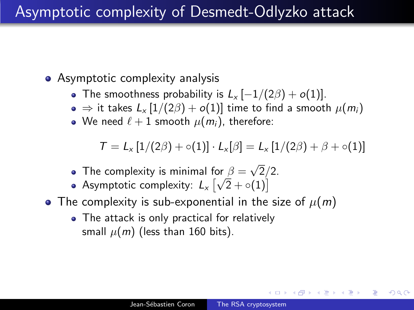## Asymptotic complexity of Desmedt-Odlyzko attack

- Asymptotic complexity analysis
	- The smoothness probability is  $L_x[-1/(2\beta)+o(1)]$ .
	- $\bullet \Rightarrow$  it takes  $L_x [1/(2\beta) + o(1)]$  time to find a smooth  $\mu(m_i)$
	- We need  $\ell + 1$  smooth  $\mu(m_i)$ , therefore:

$$
T = L_x \left[1/(2\beta) + \circ(1)\right] \cdot L_x[\beta] = L_x \left[1/(2\beta) + \beta + \circ(1)\right]
$$

- The complexity is minimal for  $\beta =$ √ or  $\beta = \sqrt{2}/2$ .
- Asymptotic complexity:  $L_x\left[\sqrt{2}+\circ(1)\right]$
- The complexity is sub-exponential in the size of  $\mu(m)$ 
	- The attack is only practical for relatively small  $\mu(m)$  (less than 160 bits).

つくへ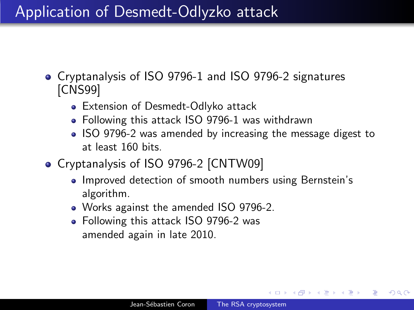## Application of Desmedt-Odlyzko attack

- Cryptanalysis of ISO 9796-1 and ISO 9796-2 signatures [CNS99]
	- Extension of Desmedt-Odlyko attack
	- Following this attack ISO 9796-1 was withdrawn
	- ISO 9796-2 was amended by increasing the message digest to at least 160 bits.
- Cryptanalysis of ISO 9796-2 [CNTW09]
	- Improved detection of smooth numbers using Bernstein's algorithm.
	- Works against the amended ISO 9796-2.
	- Following this attack ISO 9796-2 was amended again in late 2010.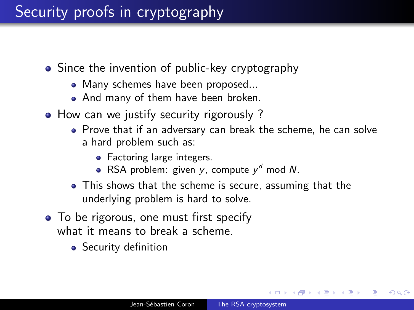- Since the invention of public-key cryptography
	- Many schemes have been proposed...
	- And many of them have been broken.
- How can we justify security rigorously?
	- Prove that if an adversary can break the scheme, he can solve a hard problem such as:
		- Factoring large integers.
		- RSA problem: given y, compute  $y^d$  mod N.
	- This shows that the scheme is secure, assuming that the underlying problem is hard to solve.
- To be rigorous, one must first specify what it means to break a scheme.
	- Security definition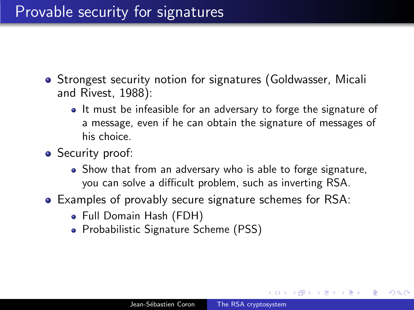- **Strongest security notion for signatures (Goldwasser, Micali** and Rivest, 1988):
	- It must be infeasible for an adversary to forge the signature of a message, even if he can obtain the signature of messages of his choice.
- Security proof:
	- Show that from an adversary who is able to forge signature, you can solve a difficult problem, such as inverting RSA.
- Examples of provably secure signature schemes for RSA:
	- Full Domain Hash (FDH)
	- Probabilistic Signature Scheme (PSS)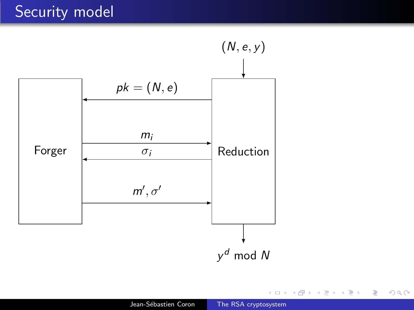# Security model



す きょうきょう イコント

す口下

E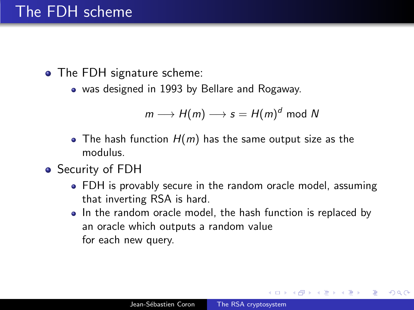# The FDH scheme

- The FDH signature scheme:
	- was designed in 1993 by Bellare and Rogaway.

$$
m \longrightarrow H(m) \longrightarrow s = H(m)^d \bmod N
$$

- The hash function  $H(m)$  has the same output size as the modulus.
- Security of FDH
	- FDH is provably secure in the random oracle model, assuming that inverting RSA is hard.
	- In the random oracle model, the hash function is replaced by an oracle which outputs a random value for each new query.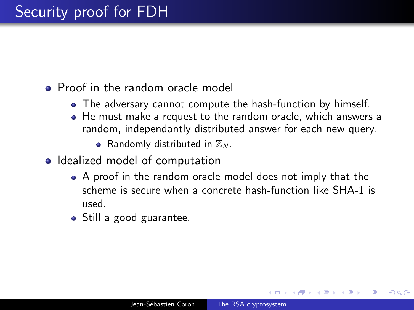#### **•** Proof in the random oracle model

- The adversary cannot compute the hash-function by himself.
- He must make a request to the random oracle, which answers a random, independantly distributed answer for each new query.
	- Randomly distributed in  $\mathbb{Z}_N$ .
- Idealized model of computation
	- A proof in the random oracle model does not imply that the scheme is secure when a concrete hash-function like SHA-1 is used.
	- Still a good guarantee.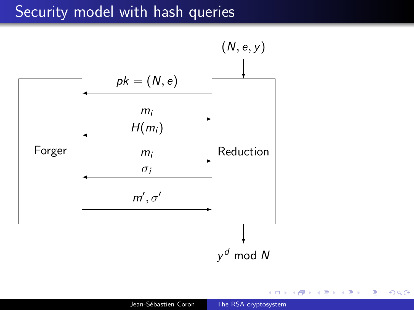## Security model with hash queries



 $\leftarrow$ 

押 → <目 →

E

重き  $\blacktriangleleft$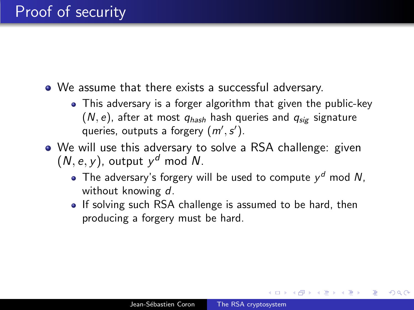- We assume that there exists a successful adversary.
	- This adversary is a forger algorithm that given the public-key  $(N, e)$ , after at most  $q_{hash}$  hash queries and  $q_{size}$  signature queries, outputs a forgery  $(m', s')$ .
- We will use this adversary to solve a RSA challenge: given  $(N, e, y)$ , output  $y<sup>d</sup>$  mod N.
	- The adversary's forgery will be used to compute  $y<sup>d</sup>$  mod N, without knowing d.
	- If solving such RSA challenge is assumed to be hard, then producing a forgery must be hard.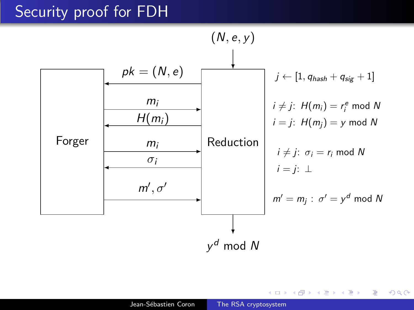## Security proof for FDH



 $2Q$ 

э

医阿雷氏阿雷氏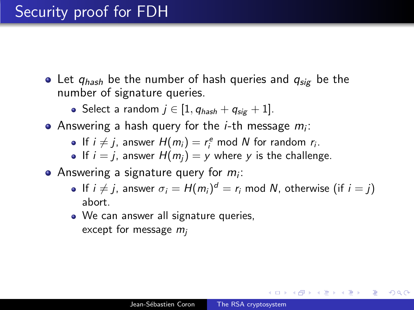- Let  $q_{hash}$  be the number of hash queries and  $q_{sig}$  be the number of signature queries.
	- Select a random  $j \in [1, q_{hash} + q_{sig} + 1].$
- Answering a hash query for the *i*-th message  $m_i$ :
	- If  $i \neq j$ , answer  $H(m_i) = r_i^e \mod N$  for random  $r_i$ .
	- If  $i = j$ , answer  $H(m_i) = y$  where y is the challenge.
- Answering a signature query for  $m_i$ :
	- If  $i \neq j$ , answer  $\sigma_i = H(m_i)^d = r_i$  mod N, otherwise (if  $i = j$ ) abort.
	- We can answer all signature queries, except for message  $m_i$

*同* ▶ ∢ ヨ ▶ ∢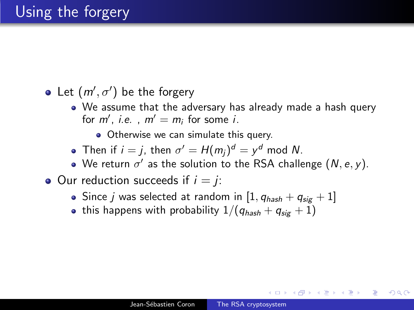Let  $(m', \sigma')$  be the forgery

We assume that the adversary has already made a hash query for  $m'$ , *i.e.*,  $m' = m_i$  for some *i*.

• Otherwise we can simulate this query.

- Then if  $i = j$ , then  $\sigma' = H(m_j)^d = y^d$  mod N.
- We return  $\sigma'$  as the solution to the RSA challenge  $(N, e, y)$ .
- $\bullet$  Our reduction succeeds if  $i = j$ .
	- Since *i* was selected at random in  $[1, q_{hash} + q_{sig} + 1]$
	- this happens with probability  $1/(q_{hash} + q_{sig} + 1)$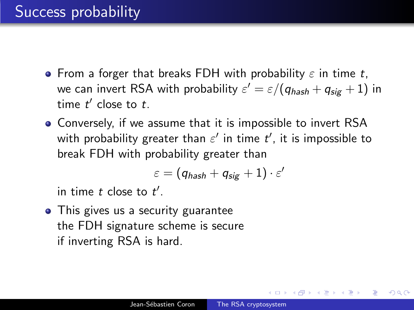- **•** From a forger that breaks FDH with probability  $\varepsilon$  in time t, we can invert RSA with probability  $\varepsilon' = \varepsilon/(q_{\mathit{hash}} + q_{\mathit{sig}} + 1)$  in time  $t'$  close to  $t$ .
- Conversely, if we assume that it is impossible to invert RSA with probability greater than  $\varepsilon'$  in time  $t'$ , it is impossible to break FDH with probability greater than

$$
\varepsilon = (q_{\textit{hash}} + q_{\textit{sig}} + 1) \cdot \varepsilon'
$$

in time  $t$  close to  $t'$ .

• This gives us a security guarantee the FDH signature scheme is secure if inverting RSA is hard.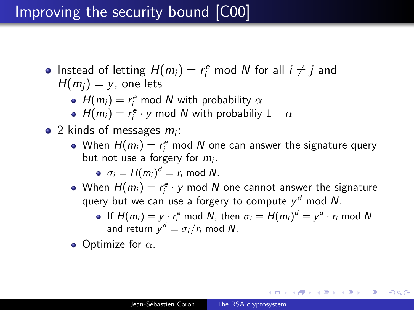## Improving the security bound [C00]

- Instead of letting  $H(m_i) = r_i^e$  mod N for all  $i \neq j$  and  $H(m_i) = y$ , one lets
	- $H(m_i) = r_i^e$  mod N with probability  $\alpha$
	- $H(m_i) = r_i^e \cdot y$  mod N with probabiliy  $1 \alpha$
- 2 kinds of messages  $m_i$ :
	- When  $H(m_i) = r_i^e$  mod  $N$  one can answer the signature query but not use a forgery for  $m_i$ .
		- $\sigma_i = H(m_i)^d = r_i \text{ mod } N.$
	- When  $H(m_i) = r_i^e \cdot y$  mod  $N$  one cannot answer the signature query but we can use a forgery to compute  $y<sup>d</sup>$  mod N.
		- If  $H(m_i) = y \cdot r_i^e$  mod N, then  $\sigma_i = H(m_i)^d = y^d \cdot r_i$  mod N and return  $y^d = \sigma_i/r_i$  mod N.

K 御 ▶ K 唐 ▶ K 唐 ▶ .

 $200$ 

• Optimize for  $\alpha$ .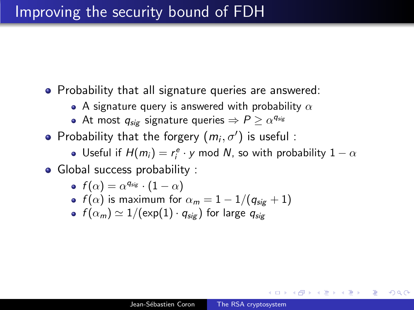## Improving the security bound of FDH

- Probability that all signature queries are answered:
	- $\bullet$  A signature query is answered with probability  $\alpha$
	- At most  $q_{\mathit{sig}}$  signature queries  $\Rightarrow$   $P \geq \alpha^{q_{\mathit{sig}}}$
- Probability that the forgery  $(m_i, \sigma')$  is useful:
	- Useful if  $H(m_i) = r_i^e \cdot y$  mod N, so with probability  $1 \alpha$
- Global success probability :

$$
\bullet \ \ f(\alpha) = \alpha^{\mathsf{q}_{\mathsf{sig}}} \cdot (1-\alpha)
$$

- $f(\alpha)$  is maximum for  $\alpha_m = 1 1/(q_{sig} + 1)$
- $f(\alpha_m) \simeq 1/(\exp(1) \cdot q_{\text{sig}})$  for large  $q_{\text{sig}}$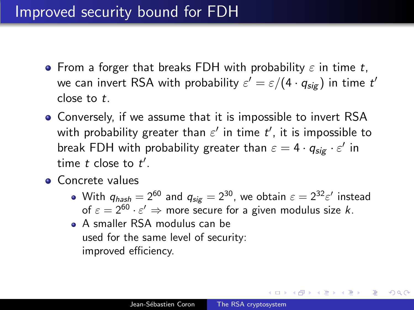## Improved security bound for FDH

- **•** From a forger that breaks FDH with probability  $\varepsilon$  in time t, we can invert RSA with probability  $\varepsilon' = \varepsilon/(4\cdot q_{\sf sig})$  in time  $t'$ close to t.
- Conversely, if we assume that it is impossible to invert RSA with probability greater than  $\varepsilon'$  in time  $t'$ , it is impossible to break FDH with probability greater than  $\varepsilon = 4 \cdot q_{\mathsf{sig}} \cdot \varepsilon'$  in time  $t$  close to  $t'$ .
- **•** Concrete values
	- With  $q_{hash} = 2^{60}$  and  $q_{sig} = 2^{30}$ , we obtain  $\varepsilon = 2^{32} \varepsilon'$  instead of  $\varepsilon = 2^{60} \cdot \varepsilon' \Rightarrow$  more secure for a given modulus size k.
	- A smaller RSA modulus can be used for the same level of security: improved efficiency.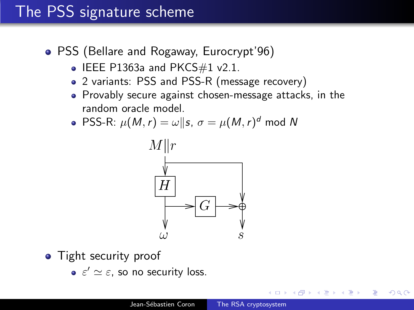## The PSS signature scheme

- PSS (Bellare and Rogaway, Eurocrypt'96)
	- $\bullet$  IEEE P1363a and PKCS#1 v2.1.
	- 2 variants: PSS and PSS-R (message recovery)
	- Provably secure against chosen-message attacks, in the random oracle model.
	- PSS-R:  $\mu(M,r) = \omega || s, \sigma = \mu(M,r)^d$  mod N



- Tight security proof
	- $\varepsilon' \simeq \varepsilon$ , so no security loss.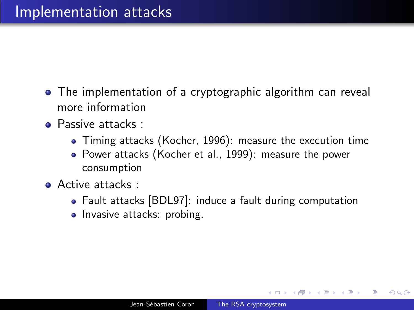- The implementation of a cryptographic algorithm can reveal more information
- **Passive attacks:** 
	- Timing attacks (Kocher, 1996): measure the execution time
	- Power attacks (Kocher et al., 1999): measure the power consumption
- **Active attacks** :
	- Fault attacks [BDL97]: induce a fault during computation
	- Invasive attacks: probing.